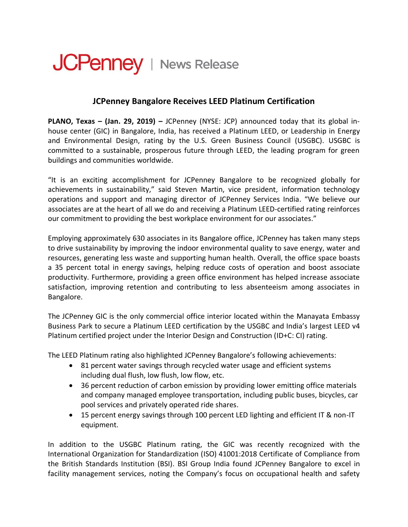## JCPenney | News Release

## **JCPenney Bangalore Receives LEED Platinum Certification**

**PLANO, Texas – (Jan. 29, 2019) –** JCPenney (NYSE: JCP) announced today that its global inhouse center (GIC) in Bangalore, India, has received a Platinum LEED, or Leadership in Energy and Environmental Design, rating by the U.S. Green Business Council (USGBC). USGBC is committed to a sustainable, prosperous future through LEED, the leading program for green buildings and communities worldwide.

"It is an exciting accomplishment for JCPenney Bangalore to be recognized globally for achievements in sustainability," said Steven Martin, vice president, information technology operations and support and managing director of JCPenney Services India. "We believe our associates are at the heart of all we do and receiving a Platinum LEED-certified rating reinforces our commitment to providing the best workplace environment for our associates."

Employing approximately 630 associates in its Bangalore office, JCPenney has taken many steps to drive sustainability by improving the indoor environmental quality to save energy, water and resources, generating less waste and supporting human health. Overall, the office space boasts a 35 percent total in energy savings, helping reduce costs of operation and boost associate productivity. Furthermore, providing a green office environment has helped increase associate satisfaction, improving retention and contributing to less absenteeism among associates in Bangalore.

The JCPenney GIC is the only commercial office interior located within the Manayata Embassy Business Park to secure a Platinum LEED certification by the USGBC and India's largest LEED v4 Platinum certified project under the Interior Design and Construction (ID+C: CI) rating.

The LEED Platinum rating also highlighted JCPenney Bangalore's following achievements:

- 81 percent water savings through recycled water usage and efficient systems including dual flush, low flush, low flow, etc.
- 36 percent reduction of carbon emission by providing lower emitting office materials and company managed employee transportation, including public buses, bicycles, car pool services and privately operated ride shares.
- 15 percent energy savings through 100 percent LED lighting and efficient IT & non-IT equipment.

In addition to the USGBC Platinum rating, the GIC was recently recognized with the International Organization for Standardization (ISO) 41001:2018 Certificate of Compliance from the British Standards Institution (BSI). BSI Group India found JCPenney Bangalore to excel in facility management services, noting the Company's focus on occupational health and safety